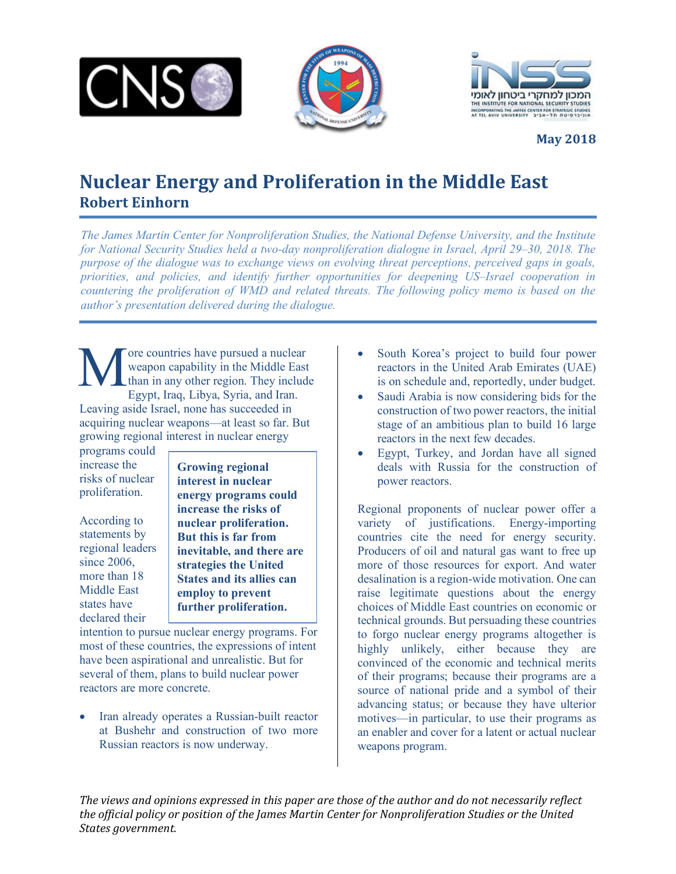





**May 2018**

## Nuclear Energy and Proliferation in the Middle East **Robert Einhorn**

*The James Martin Center for Nonproliferation Studies, the National Defense University, and the Institute for National Security Studies held a two-day nonproliferation dialogue in Israel, April 29–30, 2018. The purpose of the dialogue was to exchange views on evolving threat perceptions, perceived gaps in goals, priorities, and policies, and identify further opportunities for deepening US–Israel cooperation in countering the proliferation of WMD and related threats. The following policy memo is based on the author's presentation delivered during the dialogue.*

ore countries have pursued a nuclear weapon capability in the Middle East than in any other region. They include Egypt, Iraq, Libya, Syria, and Iran. Leaving aside Israel, none has succeeded in acquiring nuclear weapons—at least so far. But growing regional interest in nuclear energy M

programs could increase the risks of nuclear proliferation.

According to statements by regional leaders since 2006. more than 18 Middle East states have declared their

**Growing regional interest in nuclear energy programs could increase the risks of nuclear proliferation. But this is far from inevitable, and there are strategies the United States and its allies can employ to prevent further proliferation.**

intention to pursue nuclear energy programs. For most of these countries, the expressions of intent have been aspirational and unrealistic. But for several of them, plans to build nuclear power reactors are more concrete.

• Iran already operates a Russian-built reactor at Bushehr and construction of two more Russian reactors is now underway.

- South Korea's project to build four power reactors in the United Arab Emirates (UAE) is on schedule and, reportedly, under budget.
- Saudi Arabia is now considering bids for the construction of two power reactors, the initial stage of an ambitious plan to build 16 large reactors in the next few decades.
- Egypt, Turkey, and Jordan have all signed deals with Russia for the construction of power reactors.

Regional proponents of nuclear power offer a variety of justifications. Energy-importing countries cite the need for energy security. Producers of oil and natural gas want to free up more of those resources for export. And water desalination is a region-wide motivation. One can raise legitimate questions about the energy choices of Middle East countries on economic or technical grounds. But persuading these countries to forgo nuclear energy programs altogether is highly unlikely, either because they are convinced of the economic and technical merits of their programs; because their programs are a source of national pride and a symbol of their advancing status; or because they have ulterior motives—in particular, to use their programs as an enabler and cover for a latent or actual nuclear weapons program.

The views and opinions expressed in this paper are those of the author and do not necessarily reflect the official policy or position of the James Martin Center for Nonproliferation Studies or the United *States government.*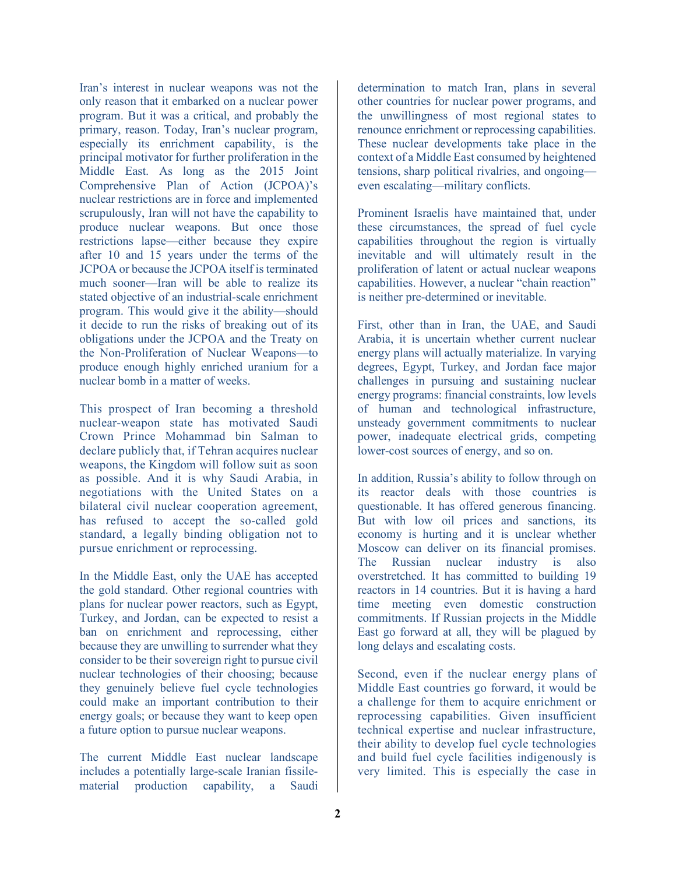Iran's interest in nuclear weapons was not the only reason that it embarked on a nuclear power program. But it was a critical, and probably the primary, reason. Today, Iran's nuclear program, especially its enrichment capability, is the principal motivator for further proliferation in the Middle East. As long as the 2015 Joint Comprehensive Plan of Action (JCPOA)'s nuclear restrictions are in force and implemented scrupulously, Iran will not have the capability to produce nuclear weapons. But once those restrictions lapse—either because they expire after 10 and 15 years under the terms of the JCPOA or because the JCPOA itself is terminated much sooner—Iran will be able to realize its stated objective of an industrial-scale enrichment program. This would give it the ability—should it decide to run the risks of breaking out of its obligations under the JCPOA and the Treaty on the Non-Proliferation of Nuclear Weapons—to produce enough highly enriched uranium for a nuclear bomb in a matter of weeks.

This prospect of Iran becoming a threshold nuclear-weapon state has motivated Saudi Crown Prince Mohammad bin Salman to declare publicly that, if Tehran acquires nuclear weapons, the Kingdom will follow suit as soon as possible. And it is why Saudi Arabia, in negotiations with the United States on a bilateral civil nuclear cooperation agreement, has refused to accept the so-called gold standard, a legally binding obligation not to pursue enrichment or reprocessing.

In the Middle East, only the UAE has accepted the gold standard. Other regional countries with plans for nuclear power reactors, such as Egypt, Turkey, and Jordan, can be expected to resist a ban on enrichment and reprocessing, either because they are unwilling to surrender what they consider to be their sovereign right to pursue civil nuclear technologies of their choosing; because they genuinely believe fuel cycle technologies could make an important contribution to their energy goals; or because they want to keep open a future option to pursue nuclear weapons.

The current Middle East nuclear landscape includes a potentially large-scale Iranian fissilematerial production capability, a Saudi determination to match Iran, plans in several other countries for nuclear power programs, and the unwillingness of most regional states to renounce enrichment or reprocessing capabilities. These nuclear developments take place in the context of a Middle East consumed by heightened tensions, sharp political rivalries, and ongoing even escalating—military conflicts.

Prominent Israelis have maintained that, under these circumstances, the spread of fuel cycle capabilities throughout the region is virtually inevitable and will ultimately result in the proliferation of latent or actual nuclear weapons capabilities. However, a nuclear "chain reaction" is neither pre-determined or inevitable.

First, other than in Iran, the UAE, and Saudi Arabia, it is uncertain whether current nuclear energy plans will actually materialize. In varying degrees, Egypt, Turkey, and Jordan face major challenges in pursuing and sustaining nuclear energy programs: financial constraints, low levels of human and technological infrastructure, unsteady government commitments to nuclear power, inadequate electrical grids, competing lower-cost sources of energy, and so on.

In addition, Russia's ability to follow through on its reactor deals with those countries is questionable. It has offered generous financing. But with low oil prices and sanctions, its economy is hurting and it is unclear whether Moscow can deliver on its financial promises. The Russian nuclear industry is also overstretched. It has committed to building 19 reactors in 14 countries. But it is having a hard time meeting even domestic construction commitments. If Russian projects in the Middle East go forward at all, they will be plagued by long delays and escalating costs.

Second, even if the nuclear energy plans of Middle East countries go forward, it would be a challenge for them to acquire enrichment or reprocessing capabilities. Given insufficient technical expertise and nuclear infrastructure, their ability to develop fuel cycle technologies and build fuel cycle facilities indigenously is very limited. This is especially the case in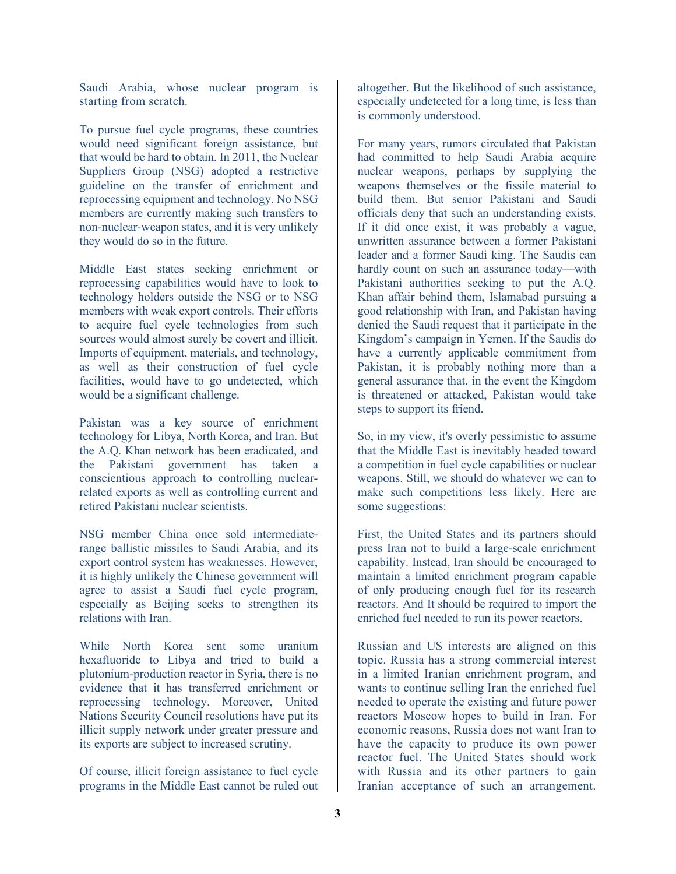Saudi Arabia, whose nuclear program is starting from scratch.

To pursue fuel cycle programs, these countries would need significant foreign assistance, but that would be hard to obtain. In 2011, the Nuclear Suppliers Group (NSG) adopted a restrictive guideline on the transfer of enrichment and reprocessing equipment and technology. No NSG members are currently making such transfers to non-nuclear-weapon states, and it is very unlikely they would do so in the future.

Middle East states seeking enrichment or reprocessing capabilities would have to look to technology holders outside the NSG or to NSG members with weak export controls. Their efforts to acquire fuel cycle technologies from such sources would almost surely be covert and illicit. Imports of equipment, materials, and technology, as well as their construction of fuel cycle facilities, would have to go undetected, which would be a significant challenge.

Pakistan was a key source of enrichment technology for Libya, North Korea, and Iran. But the A.Q. Khan network has been eradicated, and the Pakistani government has taken a conscientious approach to controlling nuclearrelated exports as well as controlling current and retired Pakistani nuclear scientists.

NSG member China once sold intermediaterange ballistic missiles to Saudi Arabia, and its export control system has weaknesses. However, it is highly unlikely the Chinese government will agree to assist a Saudi fuel cycle program, especially as Beijing seeks to strengthen its relations with Iran.

While North Korea sent some uranium hexafluoride to Libya and tried to build a plutonium-production reactor in Syria, there is no evidence that it has transferred enrichment or reprocessing technology. Moreover, United Nations Security Council resolutions have put its illicit supply network under greater pressure and its exports are subject to increased scrutiny.

Of course, illicit foreign assistance to fuel cycle programs in the Middle East cannot be ruled out altogether. But the likelihood of such assistance, especially undetected for a long time, is less than is commonly understood.

For many years, rumors circulated that Pakistan had committed to help Saudi Arabia acquire nuclear weapons, perhaps by supplying the weapons themselves or the fissile material to build them. But senior Pakistani and Saudi officials deny that such an understanding exists. If it did once exist, it was probably a vague, unwritten assurance between a former Pakistani leader and a former Saudi king. The Saudis can hardly count on such an assurance today—with Pakistani authorities seeking to put the A.Q. Khan affair behind them, Islamabad pursuing a good relationship with Iran, and Pakistan having denied the Saudi request that it participate in the Kingdom's campaign in Yemen. If the Saudis do have a currently applicable commitment from Pakistan, it is probably nothing more than a general assurance that, in the event the Kingdom is threatened or attacked, Pakistan would take steps to support its friend.

So, in my view, it's overly pessimistic to assume that the Middle East is inevitably headed toward a competition in fuel cycle capabilities or nuclear weapons. Still, we should do whatever we can to make such competitions less likely. Here are some suggestions:

First, the United States and its partners should press Iran not to build a large-scale enrichment capability. Instead, Iran should be encouraged to maintain a limited enrichment program capable of only producing enough fuel for its research reactors. And It should be required to import the enriched fuel needed to run its power reactors.

Russian and US interests are aligned on this topic. Russia has a strong commercial interest in a limited Iranian enrichment program, and wants to continue selling Iran the enriched fuel needed to operate the existing and future power reactors Moscow hopes to build in Iran. For economic reasons, Russia does not want Iran to have the capacity to produce its own power reactor fuel. The United States should work with Russia and its other partners to gain Iranian acceptance of such an arrangement.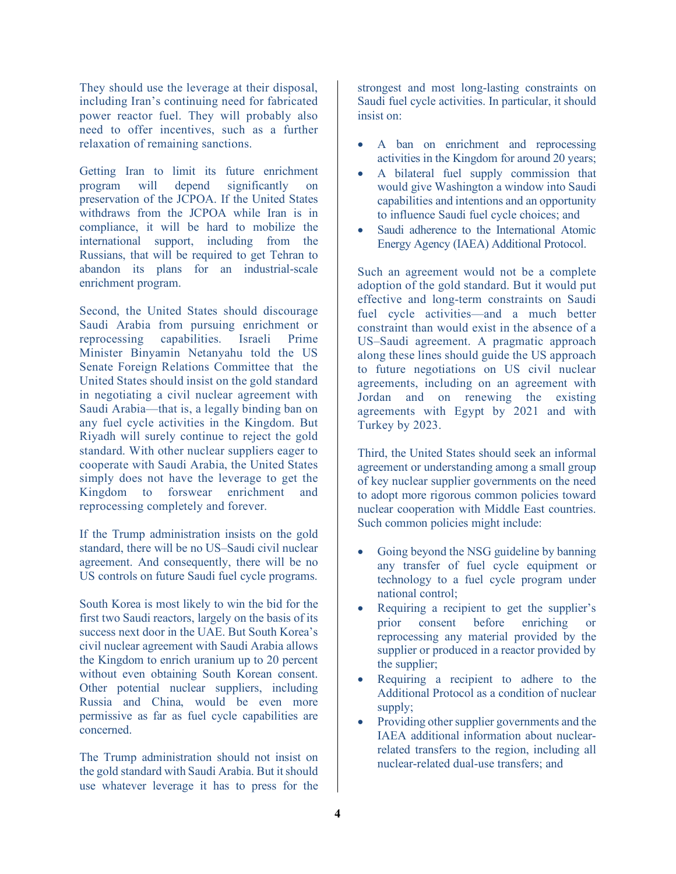They should use the leverage at their disposal, including Iran's continuing need for fabricated power reactor fuel. They will probably also need to offer incentives, such as a further relaxation of remaining sanctions.

Getting Iran to limit its future enrichment program will depend significantly on preservation of the JCPOA. If the United States withdraws from the JCPOA while Iran is in compliance, it will be hard to mobilize the international support, including from the Russians, that will be required to get Tehran to abandon its plans for an industrial-scale enrichment program.

Second, the United States should discourage Saudi Arabia from pursuing enrichment or reprocessing capabilities. Israeli Prime Minister Binyamin Netanyahu told the US Senate Foreign Relations Committee that the United States should insist on the gold standard in negotiating a civil nuclear agreement with Saudi Arabia—that is, a legally binding ban on any fuel cycle activities in the Kingdom. But Riyadh will surely continue to reject the gold standard. With other nuclear suppliers eager to cooperate with Saudi Arabia, the United States simply does not have the leverage to get the Kingdom to forswear enrichment and reprocessing completely and forever.

If the Trump administration insists on the gold standard, there will be no US–Saudi civil nuclear agreement. And consequently, there will be no US controls on future Saudi fuel cycle programs.

South Korea is most likely to win the bid for the first two Saudi reactors, largely on the basis of its success next door in the UAE. But South Korea's civil nuclear agreement with Saudi Arabia allows the Kingdom to enrich uranium up to 20 percent without even obtaining South Korean consent. Other potential nuclear suppliers, including Russia and China, would be even more permissive as far as fuel cycle capabilities are concerned.

The Trump administration should not insist on the gold standard with Saudi Arabia. But it should use whatever leverage it has to press for the

strongest and most long-lasting constraints on Saudi fuel cycle activities. In particular, it should insist on:

- A ban on enrichment and reprocessing activities in the Kingdom for around 20 years;
- A bilateral fuel supply commission that would give Washington a window into Saudi capabilities and intentions and an opportunity to influence Saudi fuel cycle choices; and
- Saudi adherence to the International Atomic Energy Agency (IAEA) Additional Protocol.

Such an agreement would not be a complete adoption of the gold standard. But it would put effective and long-term constraints on Saudi fuel cycle activities—and a much better constraint than would exist in the absence of a US–Saudi agreement. A pragmatic approach along these lines should guide the US approach to future negotiations on US civil nuclear agreements, including on an agreement with Jordan and on renewing the existing agreements with Egypt by 2021 and with Turkey by 2023.

Third, the United States should seek an informal agreement or understanding among a small group of key nuclear supplier governments on the need to adopt more rigorous common policies toward nuclear cooperation with Middle East countries. Such common policies might include:

- Going beyond the NSG guideline by banning any transfer of fuel cycle equipment or technology to a fuel cycle program under national control;
- Requiring a recipient to get the supplier's prior consent before enriching or reprocessing any material provided by the supplier or produced in a reactor provided by the supplier;
- Requiring a recipient to adhere to the Additional Protocol as a condition of nuclear supply;
- Providing other supplier governments and the IAEA additional information about nuclearrelated transfers to the region, including all nuclear-related dual-use transfers; and